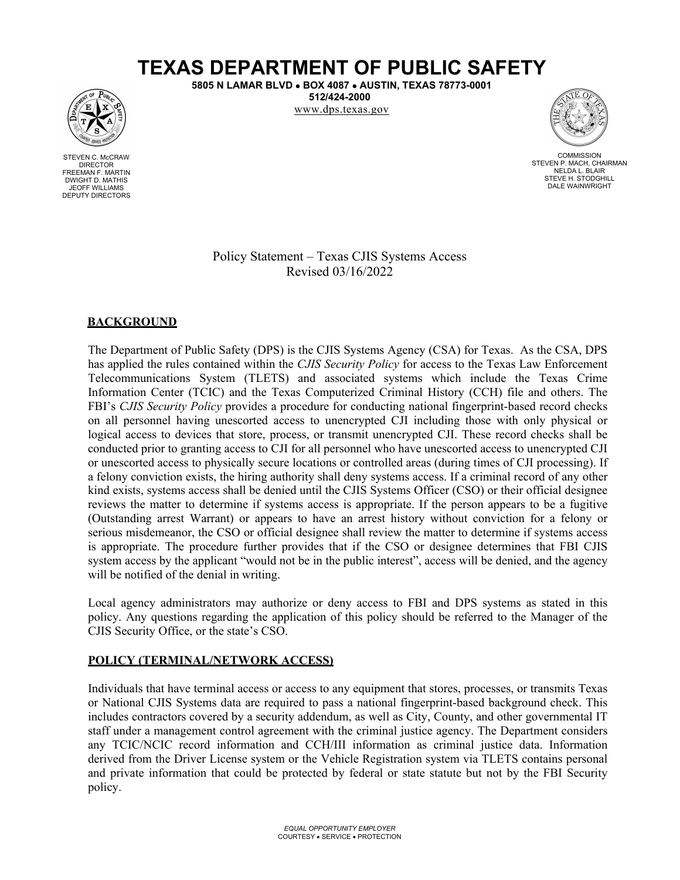# **TEXAS DEPARTMENT OF PUBLIC SAFETY**

**5805 N LAMAR BLVD** • **BOX 4087** • **AUSTIN, TEXAS 78773-0001 512/424-2000**

www.dps.texas.gov



COMMISSION STEVEN P. MACH, CHAIRMAN NELDA L. BLAIR STEVE H. STODGHILL DALE WAINWRIGHT

Policy Statement – Texas CJIS Systems Access Revised 03/16/2022

## **BACKGROUND**

The Department of Public Safety (DPS) is the CJIS Systems Agency (CSA) for Texas. As the CSA, DPS has applied the rules contained within the *CJIS Security Policy* for access to the Texas Law Enforcement Telecommunications System (TLETS) and associated systems which include the Texas Crime Information Center (TCIC) and the Texas Computerized Criminal History (CCH) file and others. The FBI's *CJIS Security Policy* provides a procedure for conducting national fingerprint-based record checks on all personnel having unescorted access to unencrypted CJI including those with only physical or logical access to devices that store, process, or transmit unencrypted CJI. These record checks shall be conducted prior to granting access to CJI for all personnel who have unescorted access to unencrypted CJI or unescorted access to physically secure locations or controlled areas (during times of CJI processing). If a felony conviction exists, the hiring authority shall deny systems access. If a criminal record of any other kind exists, systems access shall be denied until the CJIS Systems Officer (CSO) or their official designee reviews the matter to determine if systems access is appropriate. If the person appears to be a fugitive (Outstanding arrest Warrant) or appears to have an arrest history without conviction for a felony or serious misdemeanor, the CSO or official designee shall review the matter to determine if systems access is appropriate. The procedure further provides that if the CSO or designee determines that FBI CJIS system access by the applicant "would not be in the public interest", access will be denied, and the agency will be notified of the denial in writing.

Local agency administrators may authorize or deny access to FBI and DPS systems as stated in this policy. Any questions regarding the application of this policy should be referred to the Manager of the CJIS Security Office, or the state's CSO.

#### **POLICY (TERMINAL/NETWORK ACCESS)**

Individuals that have terminal access or access to any equipment that stores, processes, or transmits Texas or National CJIS Systems data are required to pass a national fingerprint-based background check. This includes contractors covered by a security addendum, as well as City, County, and other governmental IT staff under a management control agreement with the criminal justice agency. The Department considers any TCIC/NCIC record information and CCH/III information as criminal justice data. Information derived from the Driver License system or the Vehicle Registration system via TLETS contains personal and private information that could be protected by federal or state statute but not by the FBI Security policy.



STEVEN C. McCRAW DIRECTOR FREEMAN F. MARTIN DWIGHT D. MATHIS JEOFF WILLIAMS DEPUTY DIRECTORS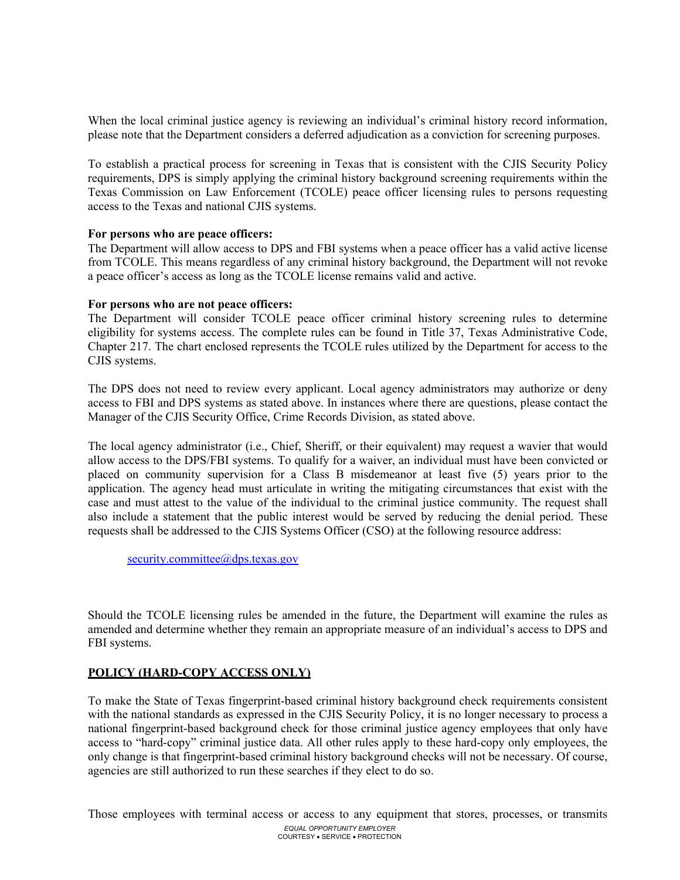When the local criminal justice agency is reviewing an individual's criminal history record information, please note that the Department considers a deferred adjudication as a conviction for screening purposes.

To establish a practical process for screening in Texas that is consistent with the CJIS Security Policy requirements, DPS is simply applying the criminal history background screening requirements within the Texas Commission on Law Enforcement (TCOLE) peace officer licensing rules to persons requesting access to the Texas and national CJIS systems.

#### **For persons who are peace officers:**

The Department will allow access to DPS and FBI systems when a peace officer has a valid active license from TCOLE. This means regardless of any criminal history background, the Department will not revoke a peace officer's access as long as the TCOLE license remains valid and active.

#### **For persons who are not peace officers:**

The Department will consider TCOLE peace officer criminal history screening rules to determine eligibility for systems access. The complete rules can be found in Title 37, Texas Administrative Code, Chapter 217. The chart enclosed represents the TCOLE rules utilized by the Department for access to the CJIS systems.

The DPS does not need to review every applicant. Local agency administrators may authorize or deny access to FBI and DPS systems as stated above. In instances where there are questions, please contact the Manager of the CJIS Security Office, Crime Records Division, as stated above.

The local agency administrator (i.e., Chief, Sheriff, or their equivalent) may request a wavier that would allow access to the DPS/FBI systems. To qualify for a waiver, an individual must have been convicted or placed on community supervision for a Class B misdemeanor at least five (5) years prior to the application. The agency head must articulate in writing the mitigating circumstances that exist with the case and must attest to the value of the individual to the criminal justice community. The request shall also include a statement that the public interest would be served by reducing the denial period. These requests shall be addressed to the CJIS Systems Officer (CSO) at the following resource address:

[security.committee@dps.texas.gov](mailto:security.committee@dps.texas.gov)

Should the TCOLE licensing rules be amended in the future, the Department will examine the rules as amended and determine whether they remain an appropriate measure of an individual's access to DPS and FBI systems.

### **POLICY (HARD-COPY ACCESS ONLY)**

To make the State of Texas fingerprint-based criminal history background check requirements consistent with the national standards as expressed in the CJIS Security Policy, it is no longer necessary to process a national fingerprint-based background check for those criminal justice agency employees that only have access to "hard-copy" criminal justice data. All other rules apply to these hard-copy only employees, the only change is that fingerprint-based criminal history background checks will not be necessary. Of course, agencies are still authorized to run these searches if they elect to do so.

*EQUAL OPPORTUNITY EMPLOYER*  COURTESY • SERVICE • PROTECTION Those employees with terminal access or access to any equipment that stores, processes, or transmits